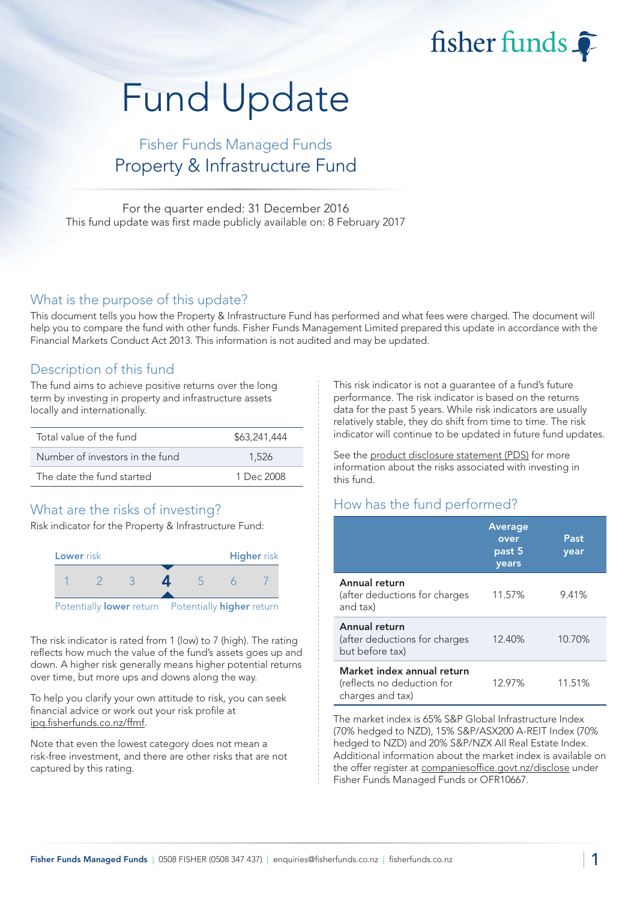fisher funds

# Fund Update

## Fisher Funds Managed Funds Property & Infrastructure Fund

For the quarter ended: 31 December 2016 This fund update was first made publicly available on: 8 February 2017

#### What is the purpose of this update?

This document tells you how the Property & Infrastructure Fund has performed and what fees were charged. The document will help you to compare the fund with other funds. Fisher Funds Management Limited prepared this update in accordance with the Financial Markets Conduct Act 2013. This information is not audited and may be updated.

### Description of this fund

The fund aims to achieve positive returns over the long term by investing in property and infrastructure assets locally and internationally.

| Total value of the fund         | \$63,241,444 |
|---------------------------------|--------------|
| Number of investors in the fund | 1.526        |
| The date the fund started       | 1 Dec 2008   |

## What are the risks of investing?

Risk indicator for the Property & Infrastructure Fund:



The risk indicator is rated from 1 (low) to 7 (high). The rating reflects how much the value of the fund's assets goes up and down. A higher risk generally means higher potential returns over time, but more ups and downs along the way.

To help you clarify your own attitude to risk, you can seek financial advice or work out your risk profile at [ipq.fisherfunds.co.nz/ffmf.](https://ipq.fisherfunds.co.nz/ffmf)

Note that even the lowest category does not mean a risk-free investment, and there are other risks that are not captured by this rating.

This risk indicator is not a guarantee of a fund's future performance. The risk indicator is based on the returns data for the past 5 years. While risk indicators are usually relatively stable, they do shift from time to time. The risk indicator will continue to be updated in future fund updates.

See the [product disclosure statement \(PDS\)](https://fisherfunds.co.nz/assets/PDS/Fisher-Funds-Managed-Funds-PDS.pdf) for more information about the risks associated with investing in this fund.

## How has the fund performed?

|                                                                              | <b>Average</b><br>over<br>past 5<br>years | Past<br>year |
|------------------------------------------------------------------------------|-------------------------------------------|--------------|
| Annual return<br>(after deductions for charges<br>and tax)                   | 11.57%                                    | 9.41%        |
| Annual return<br>(after deductions for charges<br>but before tax)            | 12.40%                                    | 10.70%       |
| Market index annual return<br>(reflects no deduction for<br>charges and tax) | 12.97%                                    | 11.51%       |

The market index is 65% S&P Global Infrastructure Index (70% hedged to NZD), 15% S&P/ASX200 A-REIT Index (70% hedged to NZD) and 20% S&P/NZX All Real Estate Index. Additional information about the market index is available on the offer register at [companiesoffice.govt.nz/disclose](http://companiesoffice.govt.nz/disclose) under Fisher Funds Managed Funds or OFR10667.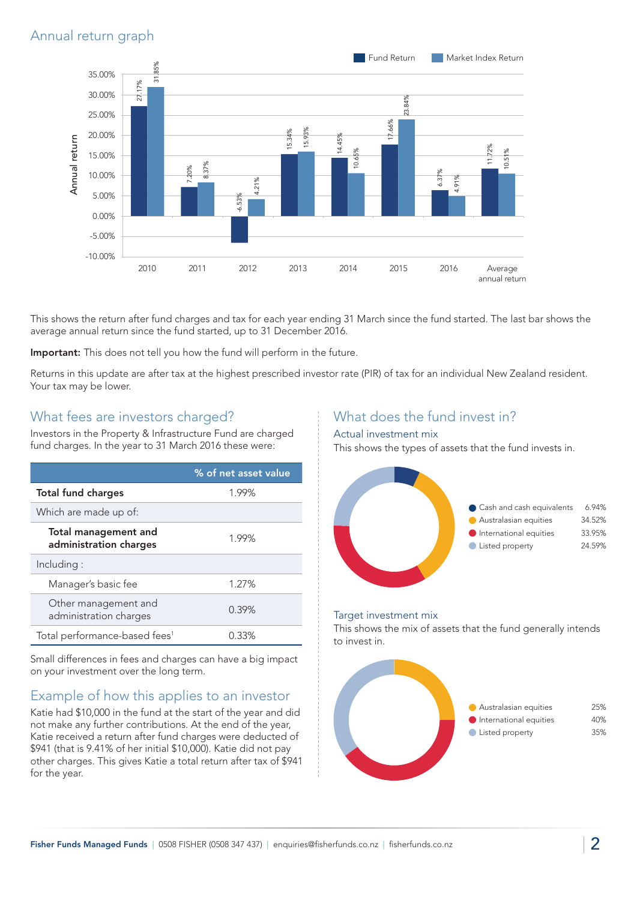## Annual return graph



This shows the return after fund charges and tax for each year ending 31 March since the fund started. The last bar shows the average annual return since the fund started, up to 31 December 2016.

Important: This does not tell you how the fund will perform in the future.

Returns in this update are after tax at the highest prescribed investor rate (PIR) of tax for an individual New Zealand resident. Your tax may be lower.

### What fees are investors charged?

Investors in the Property & Infrastructure Fund are charged fund charges. In the year to 31 March 2016 these were:

|                                                       | % of net asset value |
|-------------------------------------------------------|----------------------|
| <b>Total fund charges</b>                             | 1.99%                |
| Which are made up of:                                 |                      |
| <b>Total management and</b><br>administration charges | 1.99%                |
| Including:                                            |                      |
| Manager's basic fee                                   | 1.27%                |
| Other management and<br>administration charges        | 0.39%                |
| Total performance-based fees <sup>1</sup>             | 0.33%                |

Small differences in fees and charges can have a big impact on your investment over the long term.

## Example of how this applies to an investor

Katie had \$10,000 in the fund at the start of the year and did not make any further contributions. At the end of the year, Katie received a return after fund charges were deducted of \$941 (that is 9.41% of her initial \$10,000). Katie did not pay other charges. This gives Katie a total return after tax of \$941 for the year.

## What does the fund invest in?

#### Actual investment mix

This shows the types of assets that the fund invests in.



#### Target investment mix

This shows the mix of assets that the fund generally intends to invest in.